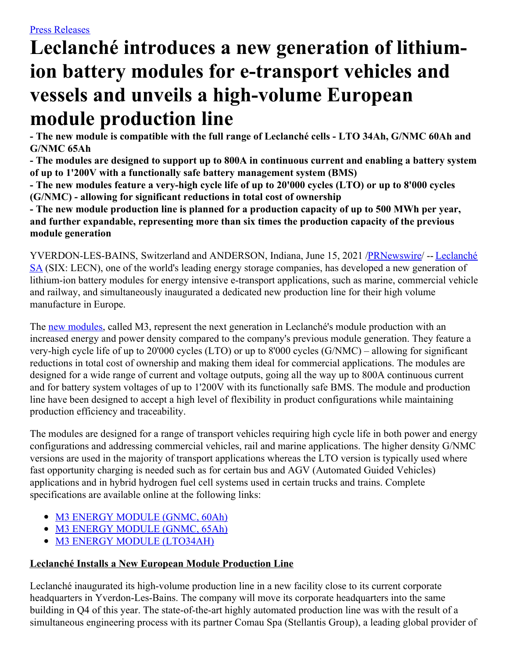# **Leclanché introduces a new generation of lithiumion battery modules for e-transport vehicles and vessels and unveils a high-volume European module production line**

- The new module is compatible with the full range of Leclanché cells - LTO 34Ah, G/NMC 60Ah and **G/NMC 65Ah**

- The modules are designed to support up to 800A in continuous current and enabling a battery system **of up to 1'200V with a functionally safe battery management system (BMS)**

- The new modules feature a very-high cycle life of up to 20'000 cycles (LTO) or up to 8'000 cycles **(G/NMC) - allowing for significant reductions in total cost of ownership**

- The new module production line is planned for a production capacity of up to 500 MWh per year, **and further expandable, representing more than six times the production capacity of the previous module generation**

[YVERDON-LES-BAINS,](https://c212.net/c/link/?t=0&l=en&o=3195803-1&h=2279867733&u=http%3A%2F%2Fwww.leclanche.com%2F&a=Leclanch%C3%A9+SA) Switzerland and ANDERSON, Indiana, June 15, 2021 [/PRNewswire](http://www.prnewswire.com/)/ -- Leclanché SA (SIX: LECN), one of the world's leading energy storage companies, has developed a new generation of lithium-ion battery modules for energy intensive e-transport applications, such as marine, commercial vehicle and railway, and simultaneously inaugurated a dedicated new production line for their high volume manufacture in Europe.

The new [modules](https://c212.net/c/link/?t=0&l=en&o=3195803-1&h=907909093&u=https%3A%2F%2Fwww.leclanche.com%2Fwp-content%2Fuploads%2F2021%2F06%2FM3-Module-GNMC-16S2P-11.png&a=new+modules), called M3, represent the next generation in Leclanché's module production with an increased energy and power density compared to the company's previous module generation. They feature a very-high cycle life of up to 20'000 cycles (LTO) or up to 8'000 cycles (G/NMC) – allowing for significant reductions in total cost of ownership and making them ideal for commercial applications. The modules are designed for a wide range of current and voltage outputs, going all the way up to 800A continuous current and for battery system voltages of up to 1'200V with its functionally safe BMS. The module and production line have been designed to accept a high level of flexibility in product configurations while maintaining production efficiency and traceability.

The modules are designed for a range of transport vehicles requiring high cycle life in both power and energy configurations and addressing commercial vehicles, rail and marine applications. The higher density G/NMC versions are used in the majority of transport applications whereas the LTO version is typically used where fast opportunity charging is needed such as for certain bus and AGV (Automated Guided Vehicles) applications and in hybrid hydrogen fuel cell systems used in certain trucks and trains. Complete specifications are available online at the following links:

- M3 ENERGY [MODULE](https://c212.net/c/link/?t=0&l=en&o=3195803-1&h=2783634317&u=https%3A%2F%2Fwww.leclanche.com%2Fwp-content%2Fuploads%2F2021%2F06%2FGNMC-60Ah-M3-ENERGY-MODULE.pdf&a=M3+ENERGY+MODULE+(GNMC%2C+60Ah)) (GNMC, 60Ah)
- M3 ENERGY [MODULE](https://c212.net/c/link/?t=0&l=en&o=3195803-1&h=1400665007&u=https%3A%2F%2Fwww.leclanche.com%2Fwp-content%2Fuploads%2F2021%2F06%2FGNMC-65Ah-M3-ENERGY-MODULE.pdf&a=M3+ENERGY+MODULE+(GNMC%2C+65Ah)) (GNMC, 65Ah)
- M3 ENERGY MODULE [\(LTO34AH\)](https://c212.net/c/link/?t=0&l=en&o=3195803-1&h=1799814538&u=https%3A%2F%2Fwww.leclanche.com%2Fwp-content%2Fuploads%2F2021%2F06%2FLTO34AH-M3-ENERGY-MODULE-12-2020.pdf&a=M3+ENERGY+MODULE+(LTO34AH))

## **Leclanché Installs a New European Module Production Line**

Leclanché inaugurated its high-volume production line in a new facility close to its current corporate headquarters in Yverdon-Les-Bains. The company will move its corporate headquarters into the same building in Q4 of this year. The state-of-the-art highly automated production line was with the result of a simultaneous engineering process with its partner Comau Spa (Stellantis Group), a leading global provider of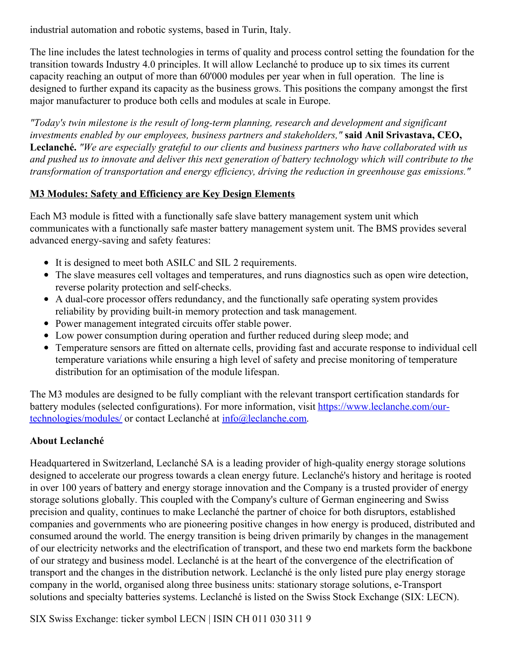industrial automation and robotic systems, based in Turin, Italy.

The line includes the latest technologies in terms of quality and process control setting the foundation for the transition towards Industry 4.0 principles. It will allow Leclanché to produce up to six times its current capacity reaching an output of more than 60'000 modules per year when in full operation. The line is designed to further expand its capacity as the business grows. This positions the company amongst the first major manufacturer to produce both cells and modules at scale in Europe.

*"Today's twin milestone is the result of long-term planning, research and development and significant investments enabled by our employees, business partners and stakeholders,"* **said Anil Srivastava, CEO, Leclanché.** *"We are especially grateful to our clients and business partners who have collaborated with us* and pushed us to innovate and deliver this next generation of battery technology which will contribute to the *transformation of transportation and energy ef iciency, driving the reduction in greenhouse gas emissions."*

## **M3 Modules: Safety and Efficiency are Key Design Elements**

Each M3 module is fitted with a functionally safe slave battery management system unit which communicates with a functionally safe master battery management system unit. The BMS provides several advanced energy-saving and safety features:

- It is designed to meet both ASILC and SIL 2 requirements.
- The slave measures cell voltages and temperatures, and runs diagnostics such as open wire detection, reverse polarity protection and self-checks.
- A dual-core processor offers redundancy, and the functionally safe operating system provides reliability by providing built-in memory protection and task management.
- Power management integrated circuits offer stable power.
- Low power consumption during operation and further reduced during sleep mode; and
- Temperature sensors are fitted on alternate cells, providing fast and accurate response to individual cell temperature variations while ensuring a high level of safety and precise monitoring of temperature distribution for an optimisation of the module lifespan.

The M3 modules are designed to be fully compliant with the relevant transport certification standards for battery modules (selected configurations). For more information, visit [https://www.leclanche.com/our](https://c212.net/c/link/?t=0&l=en&o=3195803-1&h=446638173&u=https%3A%2F%2Fwww.leclanche.com%2Four-technologies%2Fmodules%2F&a=https%3A%2F%2Fwww.leclanche.com%2Four-technologies%2Fmodules%2F)technologies/modules/ or contact Leclanché at [info@leclanche.com](mailto:info@leclanche.com).

# **About Leclanché**

Headquartered in Switzerland, Leclanché SA is a leading provider of high-quality energy storage solutions designed to accelerate our progress towards a clean energy future. Leclanché's history and heritage is rooted in over 100 years of battery and energy storage innovation and the Company is a trusted provider of energy storage solutions globally. This coupled with the Company's culture of German engineering and Swiss precision and quality, continues to make Leclanché the partner of choice for both disruptors, established companies and governments who are pioneering positive changes in how energy is produced, distributed and consumed around the world. The energy transition is being driven primarily by changes in the management of our electricity networks and the electrification of transport, and these two end markets form the backbone of our strategy and business model. Leclanché is at the heart of the convergence of the electrification of transport and the changes in the distribution network. Leclanché is the only listed pure play energy storage company in the world, organised along three business units: stationary storage solutions, e-Transport solutions and specialty batteries systems. Leclanché is listed on the Swiss Stock Exchange (SIX: LECN).

SIX Swiss Exchange: ticker symbol LECN | ISIN CH 011 030 311 9